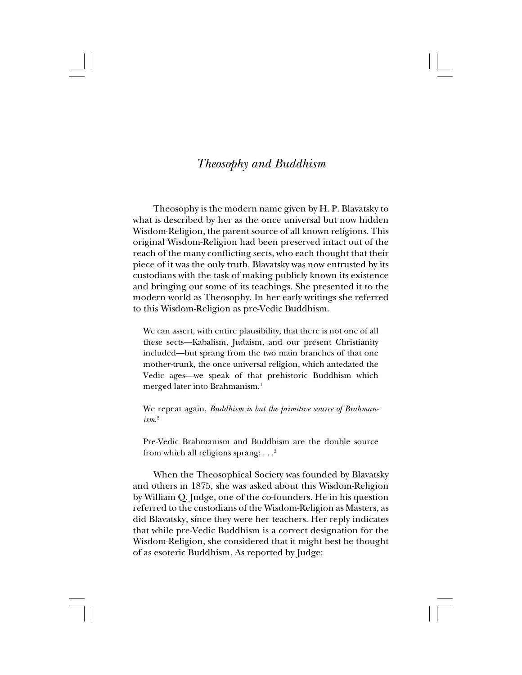## *Theosophy and Buddhism*

Theosophy is the modern name given by H. P. Blavatsky to what is described by her as the once universal but now hidden Wisdom-Religion, the parent source of all known religions. This original Wisdom-Religion had been preserved intact out of the reach of the many conflicting sects, who each thought that their piece of it was the only truth. Blavatsky was now entrusted by its custodians with the task of making publicly known its existence and bringing out some of its teachings. She presented it to the modern world as Theosophy. In her early writings she referred to this Wisdom-Religion as pre-Vedic Buddhism.

We can assert, with entire plausibility, that there is not one of all these sects—Kabalism, Judaism, and our present Christianity included—but sprang from the two main branches of that one mother-trunk, the once universal religion, which antedated the Vedic ages—we speak of that prehistoric Buddhism which merged later into Brahmanism.1

We repeat again, *Buddhism is but the primitive source of Brahmanism*. 2

Pre-Vedic Brahmanism and Buddhism are the double source from which all religions sprang;  $\ldots$ <sup>3</sup>

When the Theosophical Society was founded by Blavatsky and others in 1875, she was asked about this Wisdom-Religion by William Q. Judge, one of the co-founders. He in his question referred to the custodians of the Wisdom-Religion as Masters, as did Blavatsky, since they were her teachers. Her reply indicates that while pre-Vedic Buddhism is a correct designation for the Wisdom-Religion, she considered that it might best be thought of as esoteric Buddhism. As reported by Judge: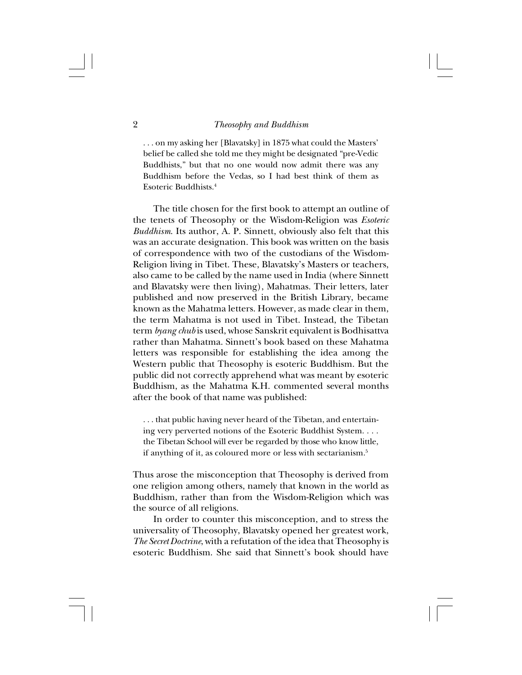. . . on my asking her [Blavatsky] in 1875 what could the Masters' belief be called she told me they might be designated "pre-Vedic Buddhists," but that no one would now admit there was any Buddhism before the Vedas, so I had best think of them as Esoteric Buddhists<sup>4</sup>

The title chosen for the first book to attempt an outline of the tenets of Theosophy or the Wisdom-Religion was *Esoteric Buddhism*. Its author, A. P. Sinnett, obviously also felt that this was an accurate designation. This book was written on the basis of correspondence with two of the custodians of the Wisdom-Religion living in Tibet. These, Blavatsky's Masters or teachers, also came to be called by the name used in India (where Sinnett and Blavatsky were then living), Mahatmas. Their letters, later published and now preserved in the British Library, became known as the Mahatma letters. However, as made clear in them, the term Mahatma is not used in Tibet. Instead, the Tibetan term *byang chub* is used, whose Sanskrit equivalent is Bodhisattva rather than Mahatma. Sinnett's book based on these Mahatma letters was responsible for establishing the idea among the Western public that Theosophy is esoteric Buddhism. But the public did not correctly apprehend what was meant by esoteric Buddhism, as the Mahatma K.H. commented several months after the book of that name was published:

. . . that public having never heard of the Tibetan, and entertaining very perverted notions of the Esoteric Buddhist System. . . . the Tibetan School will ever be regarded by those who know little, if anything of it, as coloured more or less with sectarianism.5

Thus arose the misconception that Theosophy is derived from one religion among others, namely that known in the world as Buddhism, rather than from the Wisdom-Religion which was the source of all religions.

In order to counter this misconception, and to stress the universality of Theosophy, Blavatsky opened her greatest work, *The Secret Doctrine*, with a refutation of the idea that Theosophy is esoteric Buddhism. She said that Sinnett's book should have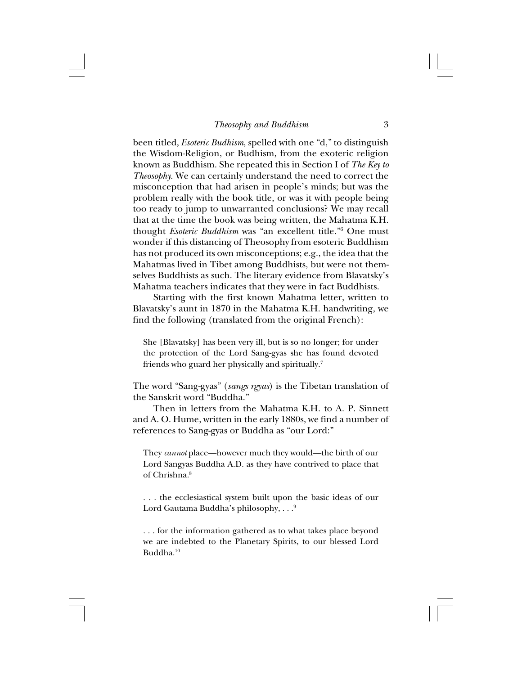been titled, *Esoteric Budhism*, spelled with one "d," to distinguish the Wisdom-Religion, or Budhism, from the exoteric religion known as Buddhism. She repeated this in Section I of *The Key to Theosophy*. We can certainly understand the need to correct the misconception that had arisen in people's minds; but was the problem really with the book title, or was it with people being too ready to jump to unwarranted conclusions? We may recall that at the time the book was being written, the Mahatma K.H. thought *Esoteric Buddhism* was "an excellent title."6 One must wonder if this distancing of Theosophy from esoteric Buddhism has not produced its own misconceptions; e.g., the idea that the Mahatmas lived in Tibet among Buddhists, but were not themselves Buddhists as such. The literary evidence from Blavatsky's Mahatma teachers indicates that they were in fact Buddhists.

Starting with the first known Mahatma letter, written to Blavatsky's aunt in 1870 in the Mahatma K.H. handwriting, we find the following (translated from the original French):

She [Blavatsky] has been very ill, but is so no longer; for under the protection of the Lord Sang-gyas she has found devoted friends who guard her physically and spiritually.7

The word "Sang-gyas" (*sangs rgyas*) is the Tibetan translation of the Sanskrit word "Buddha."

Then in letters from the Mahatma K.H. to A. P. Sinnett and A. O. Hume, written in the early 1880s, we find a number of references to Sang-gyas or Buddha as "our Lord:"

They *cannot* place—however much they would—the birth of our Lord Sangyas Buddha A.D. as they have contrived to place that of Chrishna<sup>8</sup>

. . . the ecclesiastical system built upon the basic ideas of our Lord Gautama Buddha's philosophy,  $\ldots$ <sup>9</sup>

. . . for the information gathered as to what takes place beyond we are indebted to the Planetary Spirits, to our blessed Lord Buddha.10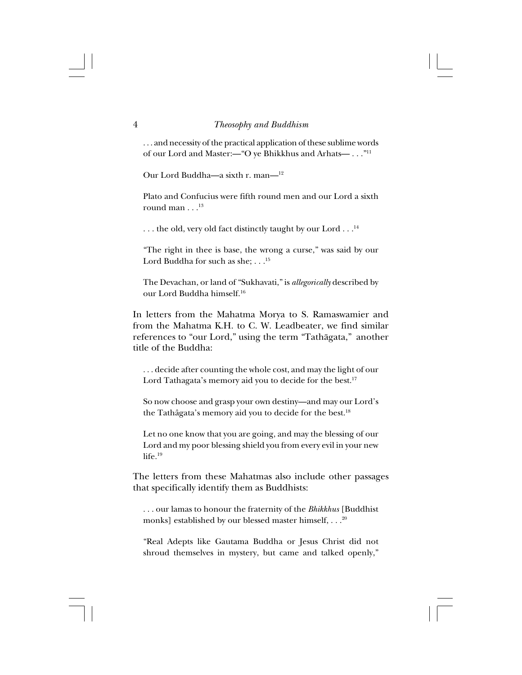. . . and necessity of the practical application of these sublime words of our Lord and Master:—"O ye Bhikkhus and Arhats— . . ."11

Our Lord Buddha—a sixth r. man—12

Plato and Confucius were fifth round men and our Lord a sixth round man . . .<sup>13</sup>

 $\ldots$  the old, very old fact distinctly taught by our Lord  $\ldots$ <sup>14</sup>

"The right in thee is base, the wrong a curse," was said by our Lord Buddha for such as she: . . .<sup>15</sup>

The Devachan, or land of "Sukhavati," is *allegorically* described by our Lord Buddha himself.16

In letters from the Mahatma Morya to S. Ramaswamier and from the Mahatma K.H. to C. W. Leadbeater, we find similar references to "our Lord," using the term "Tathågata," another title of the Buddha:

. . . decide after counting the whole cost, and may the light of our Lord Tathagata's memory aid you to decide for the best.<sup>17</sup>

So now choose and grasp your own destiny—and may our Lord's the Tathâgata's memory aid you to decide for the best.18

Let no one know that you are going, and may the blessing of our Lord and my poor blessing shield you from every evil in your new life.<sup>19</sup>

The letters from these Mahatmas also include other passages that specifically identify them as Buddhists:

. . . our lamas to honour the fraternity of the *Bhikkhus* [Buddhist monks] established by our blessed master himself, . . .20

"Real Adepts like Gautama Buddha or Jesus Christ did not shroud themselves in mystery, but came and talked openly,"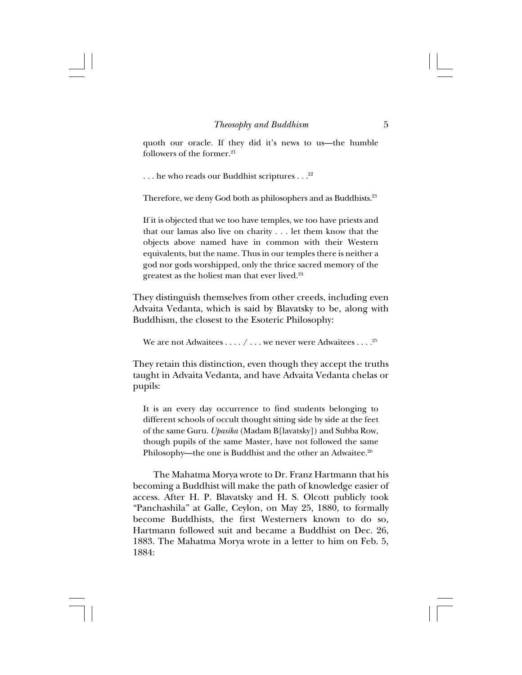quoth our oracle. If they did it's news to us—the humble followers of the former. $21$ 

... he who reads our Buddhist scriptures ...<sup>22</sup>

Therefore, we deny God both as philosophers and as Buddhists.<sup>23</sup>

If it is objected that we too have temples, we too have priests and that our lamas also live on charity . . . let them know that the objects above named have in common with their Western equivalents, but the name. Thus in our temples there is neither a god nor gods worshipped, only the thrice sacred memory of the greatest as the holiest man that ever lived.24

They distinguish themselves from other creeds, including even Advaita Vedanta, which is said by Blavatsky to be, along with Buddhism, the closest to the Esoteric Philosophy:

We are not Adwaitees  $\dots/$   $\dots$  we never were Adwaitees  $\dots$ .<sup>25</sup>

They retain this distinction, even though they accept the truths taught in Advaita Vedanta, and have Advaita Vedanta chelas or pupils:

It is an every day occurrence to find students belonging to different schools of occult thought sitting side by side at the feet of the same Guru. *Upasika* (Madam B[lavatsky]) and Subba Row, though pupils of the same Master, have not followed the same Philosophy—the one is Buddhist and the other an Adwaitee.<sup>26</sup>

The Mahatma Morya wrote to Dr. Franz Hartmann that his becoming a Buddhist will make the path of knowledge easier of access. After H. P. Blavatsky and H. S. Olcott publicly took "Panchashila" at Galle, Ceylon, on May 25, 1880, to formally become Buddhists, the first Westerners known to do so, Hartmann followed suit and became a Buddhist on Dec. 26, 1883. The Mahatma Morya wrote in a letter to him on Feb. 5, 1884: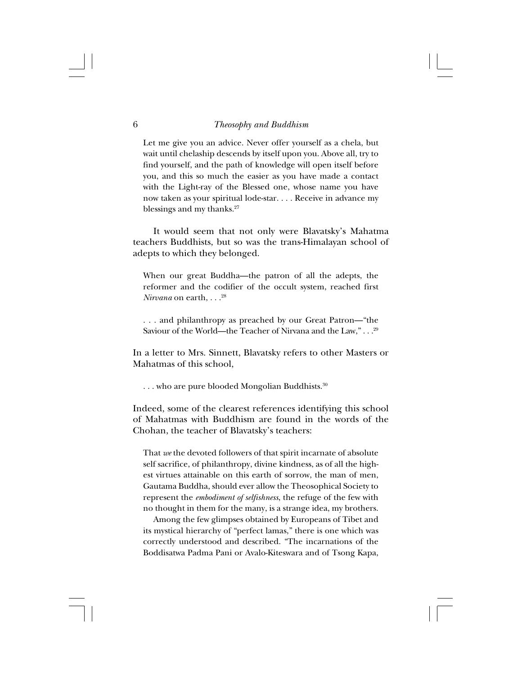Let me give you an advice. Never offer yourself as a chela, but wait until chelaship descends by itself upon you. Above all, try to find yourself, and the path of knowledge will open itself before you, and this so much the easier as you have made a contact with the Light-ray of the Blessed one, whose name you have now taken as your spiritual lode-star. . . . Receive in advance my blessings and my thanks. $27$ 

It would seem that not only were Blavatsky's Mahatma teachers Buddhists, but so was the trans-Himalayan school of adepts to which they belonged.

When our great Buddha—the patron of all the adepts, the reformer and the codifier of the occult system, reached first *Nirvana* on earth, . . .28

. . . and philanthropy as preached by our Great Patron—"the Saviour of the World—the Teacher of Nirvana and the Law,"...<sup>29</sup>

In a letter to Mrs. Sinnett, Blavatsky refers to other Masters or Mahatmas of this school,

... who are pure blooded Mongolian Buddhists.<sup>30</sup>

Indeed, some of the clearest references identifying this school of Mahatmas with Buddhism are found in the words of the Chohan, the teacher of Blavatsky's teachers:

That *we* the devoted followers of that spirit incarnate of absolute self sacrifice, of philanthropy, divine kindness, as of all the highest virtues attainable on this earth of sorrow, the man of men, Gautama Buddha, should ever allow the Theosophical Society to represent the *embodiment of selfishness*, the refuge of the few with no thought in them for the many, is a strange idea, my brothers.

Among the few glimpses obtained by Europeans of Tibet and its mystical hierarchy of "perfect lamas," there is one which was correctly understood and described. "The incarnations of the Boddisatwa Padma Pani or Avalo-Kiteswara and of Tsong Kapa,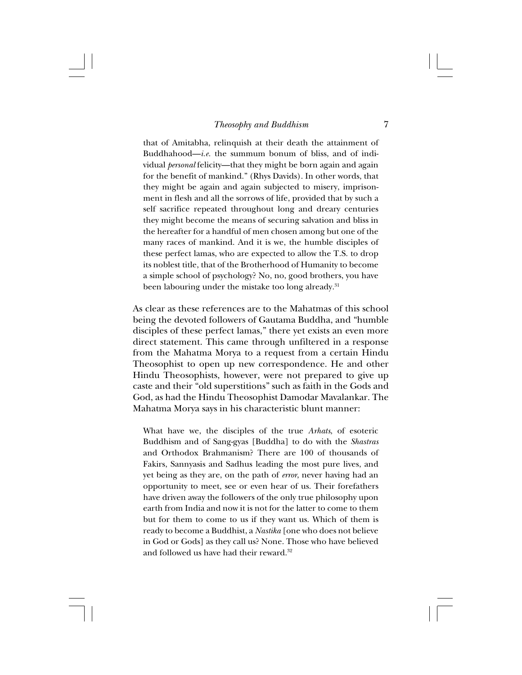that of Amitabha, relinquish at their death the attainment of Buddhahood—*i.e.* the summum bonum of bliss, and of individual *personal* felicity—that they might be born again and again for the benefit of mankind." (Rhys Davids). In other words, that they might be again and again subjected to misery, imprisonment in flesh and all the sorrows of life, provided that by such a self sacrifice repeated throughout long and dreary centuries they might become the means of securing salvation and bliss in the hereafter for a handful of men chosen among but one of the many races of mankind. And it is we, the humble disciples of these perfect lamas, who are expected to allow the T.S. to drop its noblest title, that of the Brotherhood of Humanity to become a simple school of psychology? No, no, good brothers, you have been labouring under the mistake too long already.<sup>31</sup>

As clear as these references are to the Mahatmas of this school being the devoted followers of Gautama Buddha, and "humble disciples of these perfect lamas," there yet exists an even more direct statement. This came through unfiltered in a response from the Mahatma Morya to a request from a certain Hindu Theosophist to open up new correspondence. He and other Hindu Theosophists, however, were not prepared to give up caste and their "old superstitions" such as faith in the Gods and God, as had the Hindu Theosophist Damodar Mavalankar. The Mahatma Morya says in his characteristic blunt manner:

What have we, the disciples of the true *Arhats*, of esoteric Buddhism and of Sang-gyas [Buddha] to do with the *Shastras* and Orthodox Brahmanism? There are 100 of thousands of Fakirs, Sannyasis and Sadhus leading the most pure lives, and yet being as they are, on the path of *error*, never having had an opportunity to meet, see or even hear of us. Their forefathers have driven away the followers of the only true philosophy upon earth from India and now it is not for the latter to come to them but for them to come to us if they want us. Which of them is ready to become a Buddhist, a *Nastika* [one who does not believe in God or Gods] as they call us? None. Those who have believed and followed us have had their reward.<sup>32</sup>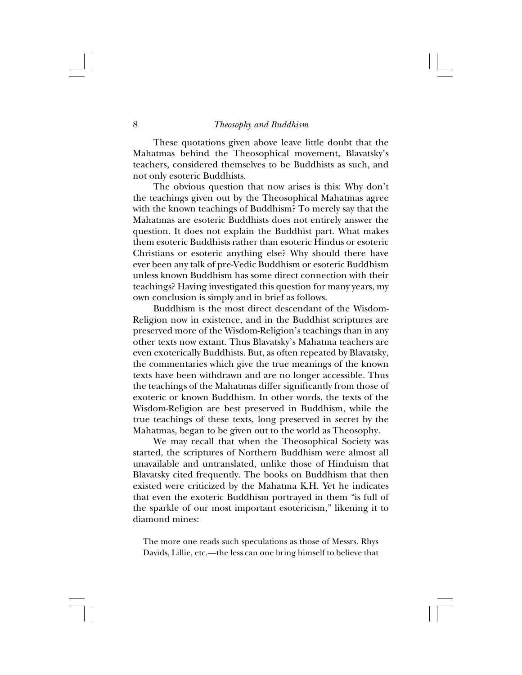These quotations given above leave little doubt that the Mahatmas behind the Theosophical movement, Blavatsky's teachers, considered themselves to be Buddhists as such, and not only esoteric Buddhists.

The obvious question that now arises is this: Why don't the teachings given out by the Theosophical Mahatmas agree with the known teachings of Buddhism? To merely say that the Mahatmas are esoteric Buddhists does not entirely answer the question. It does not explain the Buddhist part. What makes them esoteric Buddhists rather than esoteric Hindus or esoteric Christians or esoteric anything else? Why should there have ever been any talk of pre-Vedic Buddhism or esoteric Buddhism unless known Buddhism has some direct connection with their teachings? Having investigated this question for many years, my own conclusion is simply and in brief as follows.

Buddhism is the most direct descendant of the Wisdom-Religion now in existence, and in the Buddhist scriptures are preserved more of the Wisdom-Religion's teachings than in any other texts now extant. Thus Blavatsky's Mahatma teachers are even exoterically Buddhists. But, as often repeated by Blavatsky, the commentaries which give the true meanings of the known texts have been withdrawn and are no longer accessible. Thus the teachings of the Mahatmas differ significantly from those of exoteric or known Buddhism. In other words, the texts of the Wisdom-Religion are best preserved in Buddhism, while the true teachings of these texts, long preserved in secret by the Mahatmas, began to be given out to the world as Theosophy.

We may recall that when the Theosophical Society was started, the scriptures of Northern Buddhism were almost all unavailable and untranslated, unlike those of Hinduism that Blavatsky cited frequently. The books on Buddhism that then existed were criticized by the Mahatma K.H. Yet he indicates that even the exoteric Buddhism portrayed in them "is full of the sparkle of our most important esotericism," likening it to diamond mines:

The more one reads such speculations as those of Messrs. Rhys Davids, Lillie, etc.—the less can one bring himself to believe that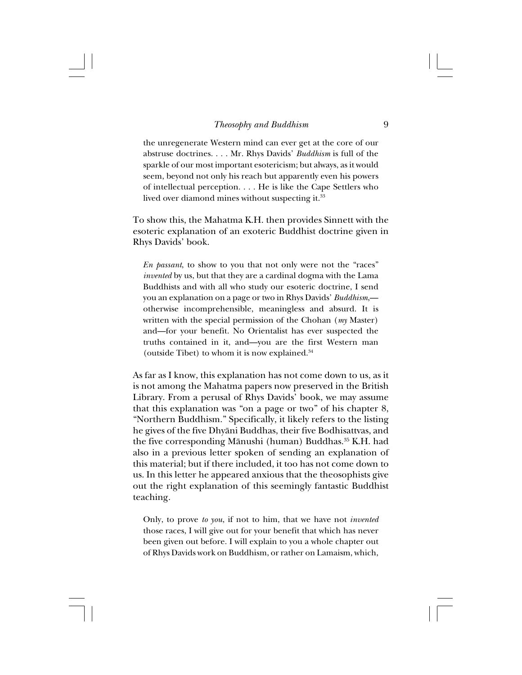the unregenerate Western mind can ever get at the core of our abstruse doctrines. . . . Mr. Rhys Davids' *Buddhism* is full of the sparkle of our most important esotericism; but always, as it would seem, beyond not only his reach but apparently even his powers of intellectual perception. . . . He is like the Cape Settlers who lived over diamond mines without suspecting it.<sup>33</sup>

To show this, the Mahatma K.H. then provides Sinnett with the esoteric explanation of an exoteric Buddhist doctrine given in Rhys Davids' book.

*En passant*, to show to you that not only were not the "races" *invented* by us, but that they are a cardinal dogma with the Lama Buddhists and with all who study our esoteric doctrine, I send you an explanation on a page or two in Rhys Davids' *Buddhism*, otherwise incomprehensible, meaningless and absurd. It is written with the special permission of the Chohan (*my* Master) and—for your benefit. No Orientalist has ever suspected the truths contained in it, and—you are the first Western man (outside Tibet) to whom it is now explained.34

As far as I know, this explanation has not come down to us, as it is not among the Mahatma papers now preserved in the British Library. From a perusal of Rhys Davids' book, we may assume that this explanation was "on a page or two" of his chapter 8, "Northern Buddhism." Specifically, it likely refers to the listing he gives of the five Dhyåni Buddhas, their five Bodhisattvas, and the five corresponding Mānushi (human) Buddhas.<sup>35</sup> K.H. had also in a previous letter spoken of sending an explanation of this material; but if there included, it too has not come down to us. In this letter he appeared anxious that the theosophists give out the right explanation of this seemingly fantastic Buddhist teaching.

Only, to prove *to you*, if not to him, that we have not *invented* those races, I will give out for your benefit that which has never been given out before. I will explain to you a whole chapter out of Rhys Davids work on Buddhism, or rather on Lamaism, which,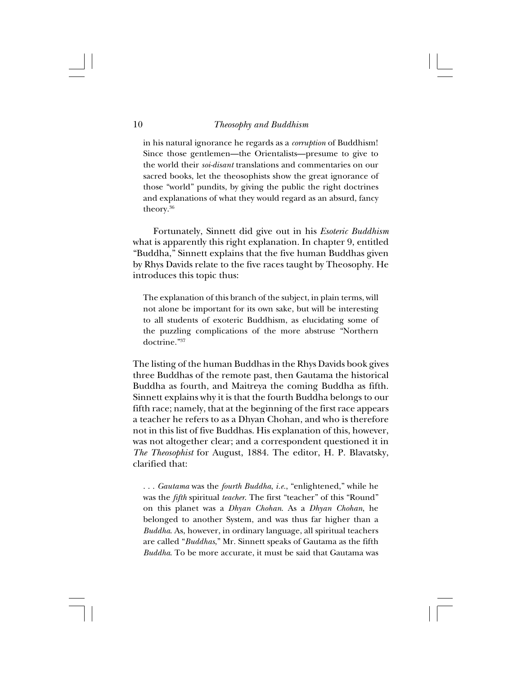in his natural ignorance he regards as a *corruption* of Buddhism! Since those gentlemen—the Orientalists—presume to give to the world their *soi-disant* translations and commentaries on our sacred books, let the theosophists show the great ignorance of those "world" pundits, by giving the public the right doctrines and explanations of what they would regard as an absurd, fancy theory.36

Fortunately, Sinnett did give out in his *Esoteric Buddhism* what is apparently this right explanation. In chapter 9, entitled "Buddha," Sinnett explains that the five human Buddhas given by Rhys Davids relate to the five races taught by Theosophy. He introduces this topic thus:

The explanation of this branch of the subject, in plain terms, will not alone be important for its own sake, but will be interesting to all students of exoteric Buddhism, as elucidating some of the puzzling complications of the more abstruse "Northern doctrine."37

The listing of the human Buddhas in the Rhys Davids book gives three Buddhas of the remote past, then Gautama the historical Buddha as fourth, and Maitreya the coming Buddha as fifth. Sinnett explains why it is that the fourth Buddha belongs to our fifth race; namely, that at the beginning of the first race appears a teacher he refers to as a Dhyan Chohan, and who is therefore not in this list of five Buddhas. His explanation of this, however, was not altogether clear; and a correspondent questioned it in *The Theosophist* for August, 1884. The editor, H. P. Blavatsky, clarified that:

. . . *Gautama* was the *fourth Buddha*, *i.e.*, "enlightened," while he was the *fifth* spiritual *teacher*. The first "teacher" of this "Round" on this planet was a *Dhyan Chohan*. As a *Dhyan Chohan*, he belonged to another System, and was thus far higher than a *Buddha*. As, however, in ordinary language, all spiritual teachers are called "*Buddhas*," Mr. Sinnett speaks of Gautama as the fifth *Buddha*. To be more accurate, it must be said that Gautama was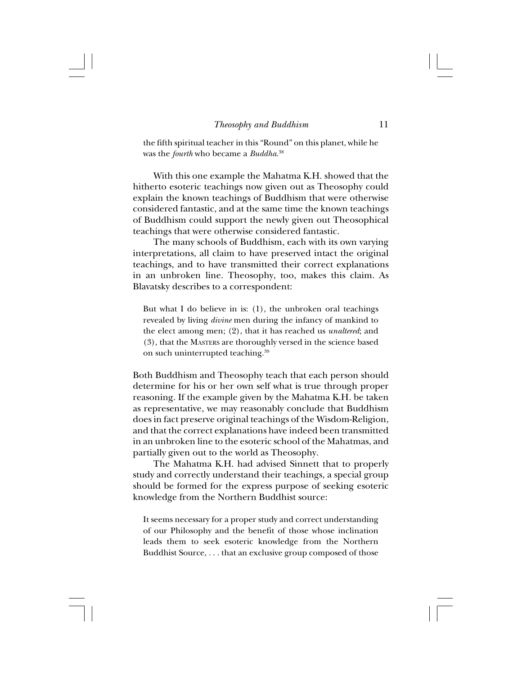the fifth spiritual teacher in this "Round" on this planet, while he was the *fourth* who became a *Buddha*. 38

With this one example the Mahatma K.H. showed that the hitherto esoteric teachings now given out as Theosophy could explain the known teachings of Buddhism that were otherwise considered fantastic, and at the same time the known teachings of Buddhism could support the newly given out Theosophical teachings that were otherwise considered fantastic.

The many schools of Buddhism, each with its own varying interpretations, all claim to have preserved intact the original teachings, and to have transmitted their correct explanations in an unbroken line. Theosophy, too, makes this claim. As Blavatsky describes to a correspondent:

But what I do believe in is: (1), the unbroken oral teachings revealed by living *divine* men during the infancy of mankind to the elect among men; (2), that it has reached us *unaltered*; and (3), that the MASTERS are thoroughly versed in the science based on such uninterrupted teaching.39

Both Buddhism and Theosophy teach that each person should determine for his or her own self what is true through proper reasoning. If the example given by the Mahatma K.H. be taken as representative, we may reasonably conclude that Buddhism does in fact preserve original teachings of the Wisdom-Religion, and that the correct explanations have indeed been transmitted in an unbroken line to the esoteric school of the Mahatmas, and partially given out to the world as Theosophy.

The Mahatma K.H. had advised Sinnett that to properly study and correctly understand their teachings, a special group should be formed for the express purpose of seeking esoteric knowledge from the Northern Buddhist source:

It seems necessary for a proper study and correct understanding of our Philosophy and the benefit of those whose inclination leads them to seek esoteric knowledge from the Northern Buddhist Source, . . . that an exclusive group composed of those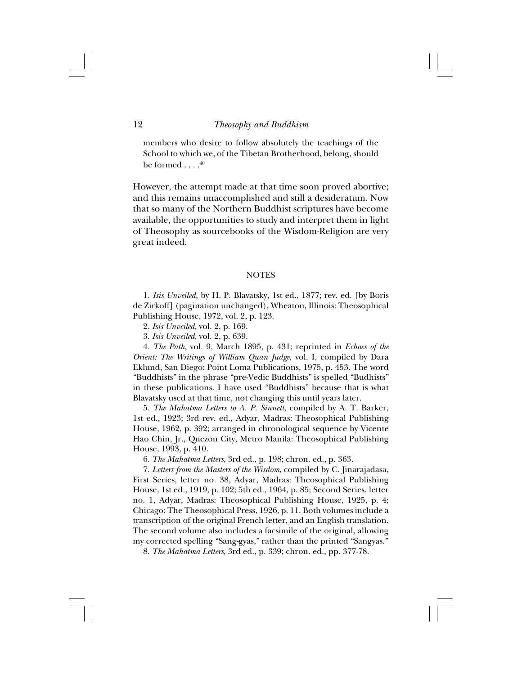members who desire to follow absolutely the teachings of the School to which we, of the Tibetan Brotherhood, belong, should be formed  $\ldots$ .  $40$ 

However, the attempt made at that time soon proved abortive; and this remains unaccomplished and still a desideratum. Now that so many of the Northern Buddhist scriptures have become available, the opportunities to study and interpret them in light of Theosophy as sourcebooks of the Wisdom-Religion are very great indeed.

## **NOTES**

1. *Isis Unveiled*, by H. P. Blavatsky, 1st ed., 1877; rev. ed. [by Boris de Zirkoff] (pagination unchanged), Wheaton, Illinois: Theosophical Publishing House, 1972, vol. 2, p. 123.

2. *Isis Unveiled*, vol. 2, p. 169.

3. *Isis Unveiled*, vol. 2, p. 639.

4. *The Path*, vol. 9, March 1895, p. 431; reprinted in *Echoes of the Orient: The Writings of William Quan Judge*, vol. I, compiled by Dara Eklund, San Diego: Point Loma Publications, 1975, p. 453. The word "Buddhists" in the phrase "pre-Vedic Buddhists" is spelled "Budhists" in these publications. I have used "Buddhists" because that is what Blavatsky used at that time, not changing this until years later.

5. *The Mahatma Letters to A. P. Sinnett*, compiled by A. T. Barker, 1st ed., 1923; 3rd rev. ed., Adyar, Madras: Theosophical Publishing House, 1962, p. 392; arranged in chronological sequence by Vicente Hao Chin, Jr., Quezon City, Metro Manila: Theosophical Publishing House, 1993, p. 410.

6. *The Mahatma Letters*, 3rd ed., p. 198; chron. ed., p. 363.

7. *Letters from the Masters of the Wisdom*, compiled by C. Jinarajadasa, First Series, letter no. 38, Adyar, Madras: Theosophical Publishing House, 1st ed., 1919, p. 102; 5th ed., 1964, p. 85; Second Series, letter no. 1, Adyar, Madras: Theosophical Publishing House, 1925, p. 4; Chicago: The Theosophical Press, 1926, p. 11. Both volumes include a transcription of the original French letter, and an English translation. The second volume also includes a facsimile of the original, allowing my corrected spelling "Sang-gyas," rather than the printed "Sangyas."

8. *The Mahatma Letters*, 3rd ed., p. 339; chron. ed., pp. 377-78.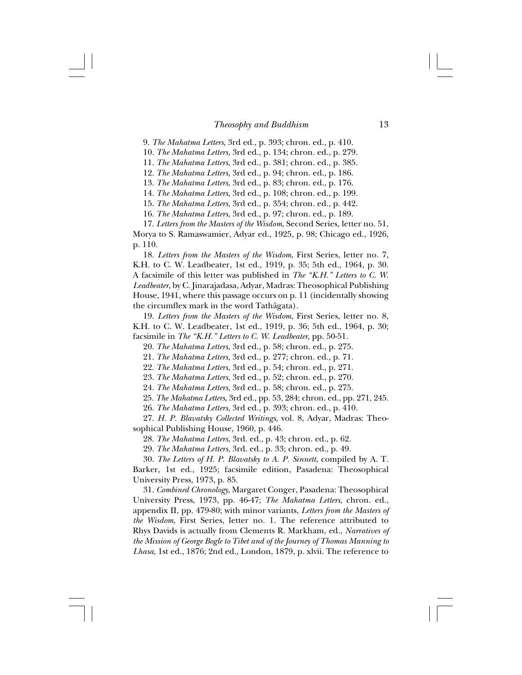9. *The Mahatma Letters*, 3rd ed., p. 393; chron. ed., p. 410.

10. *The Mahatma Letters*, 3rd ed., p. 134; chron. ed., p. 279.

11. *The Mahatma Letters*, 3rd ed., p. 381; chron. ed., p. 385.

12. *The Mahatma Letters*, 3rd ed., p. 94; chron. ed., p. 186.

13. *The Mahatma Letters*, 3rd ed., p. 83; chron. ed., p. 176.

14. *The Mahatma Letters*, 3rd ed., p. 108; chron. ed., p. 199.

15. *The Mahatma Letters*, 3rd ed., p. 354; chron. ed., p. 442.

16. *The Mahatma Letters*, 3rd ed., p. 97; chron. ed., p. 189.

17. *Letters from the Masters of the Wisdom*, Second Series, letter no. 51, Morya to S. Ramaswamier, Adyar ed., 1925, p. 98; Chicago ed., 1926, p. 110.

18. *Letters from the Masters of the Wisdom*, First Series, letter no. 7, K.H. to C. W. Leadbeater, 1st ed., 1919, p. 35; 5th ed., 1964, p. 30. A facsimile of this letter was published in *The "K.H." Letters to C. W. Leadbeater*, by C. Jinarajadasa, Adyar, Madras: Theosophical Publishing House, 1941, where this passage occurs on p. 11 (incidentally showing the circumflex mark in the word Tathâgata).

19. *Letters from the Masters of the Wisdom*, First Series, letter no. 8, K.H. to C. W. Leadbeater, 1st ed., 1919, p. 36; 5th ed., 1964, p. 30; facsimile in *The "K.H." Letters to C. W. Leadbeater*, pp. 50-51.

20. *The Mahatma Letters*, 3rd ed., p. 58; chron. ed., p. 275.

21. *The Mahatma Letters*, 3rd ed., p. 277; chron. ed., p. 71.

22. *The Mahatma Letters*, 3rd ed., p. 54; chron. ed., p. 271.

23. *The Mahatma Letters*, 3rd ed., p. 52; chron. ed., p. 270.

24. *The Mahatma Letters*, 3rd ed., p. 58; chron. ed., p. 275.

25. *The Mahatma Letters*, 3rd ed., pp. 53, 284; chron. ed., pp. 271, 245.

26. *The Mahatma Letters*, 3rd ed., p. 393; chron. ed., p. 410.

27. *H. P. Blavatsky Collected Writings*, vol. 8, Adyar, Madras: Theosophical Publishing House, 1960, p. 446.

28. *The Mahatma Letters*, 3rd. ed., p. 43; chron. ed., p. 62.

29. *The Mahatma Letters*, 3rd. ed., p. 33; chron. ed., p. 49.

30. *The Letters of H. P. Blavatsky to A. P. Sinnett*, compiled by A. T. Barker, 1st ed., 1925; facsimile edition, Pasadena: Theosophical University Press, 1973, p. 85.

31. *Combined Chronology*, Margaret Conger, Pasadena: Theosophical University Press, 1973, pp. 46-47; *The Mahatma Letters*, chron. ed., appendix II, pp. 479-80; with minor variants, *Letters from the Masters of the Wisdom*, First Series, letter no. 1. The reference attributed to Rhys Davids is actually from Clements R. Markham, ed., *Narratives of the Mission of George Bogle to Tibet and of the Journey of Thomas Manning to Lhasa*, 1st ed., 1876; 2nd ed., London, 1879, p. xlvii. The reference to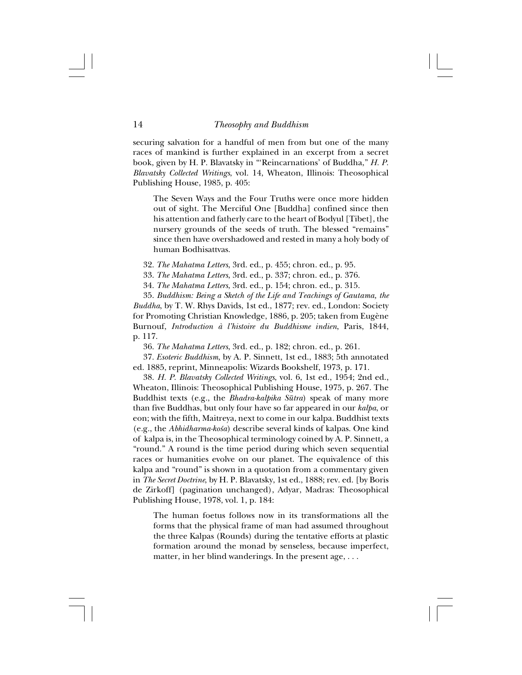securing salvation for a handful of men from but one of the many races of mankind is further explained in an excerpt from a secret book, given by H. P. Blavatsky in "'Reincarnations' of Buddha," *H. P. Blavatsky Collected Writings*, vol. 14, Wheaton, Illinois: Theosophical Publishing House, 1985, p. 405:

The Seven Ways and the Four Truths were once more hidden out of sight. The Merciful One [Buddha] confined since then his attention and fatherly care to the heart of Bodyul [Tibet], the nursery grounds of the seeds of truth. The blessed "remains" since then have overshadowed and rested in many a holy body of human Bodhisattvas.

32. *The Mahatma Letters*, 3rd. ed., p. 455; chron. ed., p. 95.

33. *The Mahatma Letters*, 3rd. ed., p. 337; chron. ed., p. 376.

34. *The Mahatma Letters*, 3rd. ed., p. 154; chron. ed., p. 315.

35. *Buddhism: Being a Sketch of the Life and Teachings of Gautama, the Buddha*, by T. W. Rhys Davids, 1st ed., 1877; rev. ed., London: Society for Promoting Christian Knowledge, 1886, p. 205; taken from Eugène Burnouf, *Introduction à l'histoire du Buddhisme indien*, Paris, 1844, p. 117.

36. *The Mahatma Letters*, 3rd. ed., p. 182; chron. ed., p. 261.

37. *Esoteric Buddhism*, by A. P. Sinnett, 1st ed., 1883; 5th annotated ed. 1885, reprint, Minneapolis: Wizards Bookshelf, 1973, p. 171.

38. *H. P. Blavatsky Collected Writings*, vol. 6, 1st ed., 1954; 2nd ed., Wheaton, Illinois: Theosophical Publishing House, 1975, p. 267. The Buddhist texts (e.g., the *Bhadra-kalpika Sütra*) speak of many more than five Buddhas, but only four have so far appeared in our *kalpa*, or eon; with the fifth, Maitreya, next to come in our kalpa. Buddhist texts (e.g., the *Abhidharma-ko≈a*) describe several kinds of kalpas. One kind of kalpa is, in the Theosophical terminology coined by A. P. Sinnett, a "round." A round is the time period during which seven sequential races or humanities evolve on our planet. The equivalence of this kalpa and "round" is shown in a quotation from a commentary given in *The Secret Doctrine*, by H. P. Blavatsky, 1st ed., 1888; rev. ed. [by Boris de Zirkoff] (pagination unchanged), Adyar, Madras: Theosophical Publishing House, 1978, vol. 1, p. 184:

The human foetus follows now in its transformations all the forms that the physical frame of man had assumed throughout the three Kalpas (Rounds) during the tentative efforts at plastic formation around the monad by senseless, because imperfect, matter, in her blind wanderings. In the present age, . . .